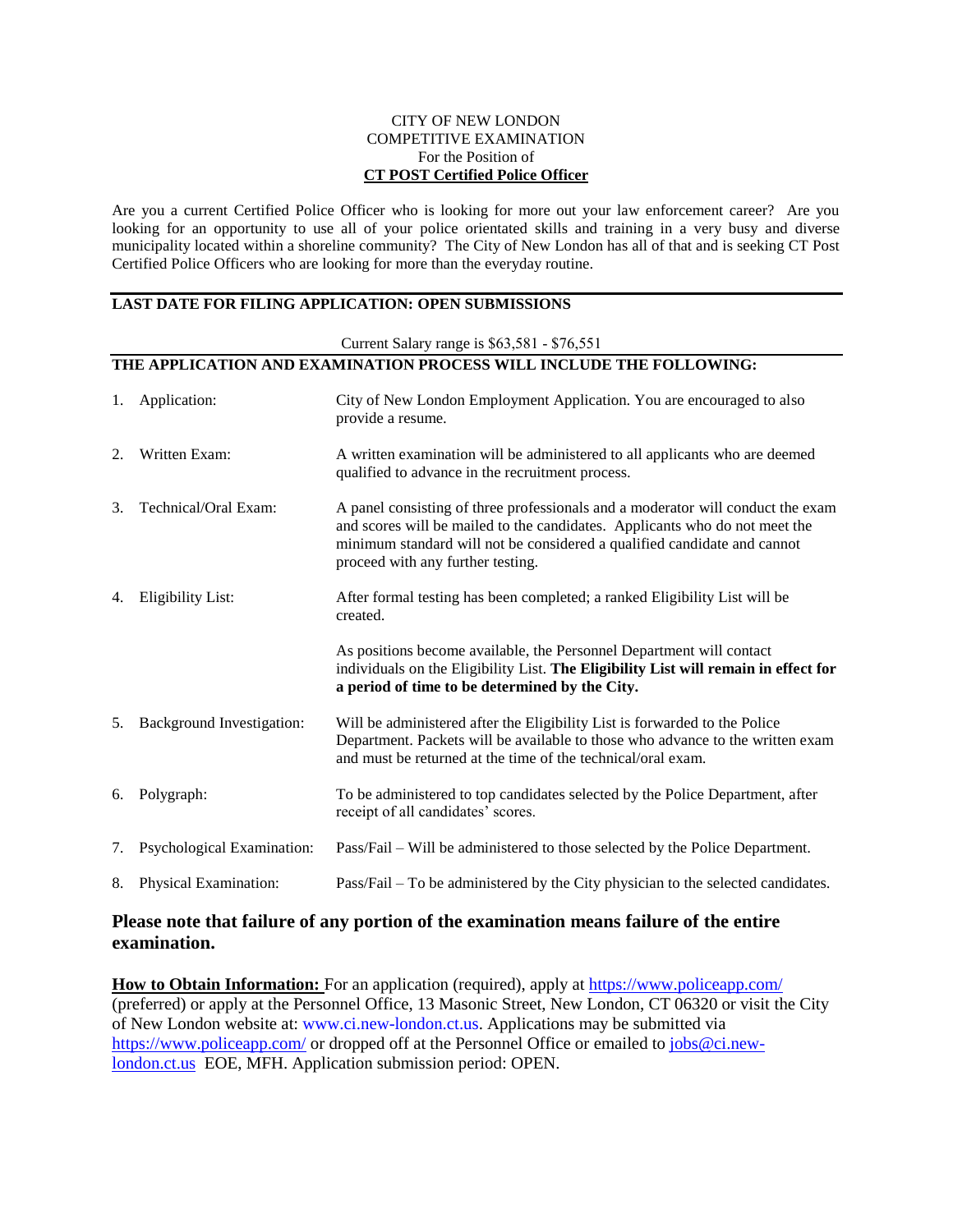#### CITY OF NEW LONDON COMPETITIVE EXAMINATION For the Position of **CT POST Certified Police Officer**

Are you a current Certified Police Officer who is looking for more out your law enforcement career? Are you looking for an opportunity to use all of your police orientated skills and training in a very busy and diverse municipality located within a shoreline community? The City of New London has all of that and is seeking CT Post Certified Police Officers who are looking for more than the everyday routine.

#### **LAST DATE FOR FILING APPLICATION: OPEN SUBMISSIONS**

| Current Salary range is \$63,581 - \$76,551                         |                                  |                                                                                                                                                                                                                                                                                 |
|---------------------------------------------------------------------|----------------------------------|---------------------------------------------------------------------------------------------------------------------------------------------------------------------------------------------------------------------------------------------------------------------------------|
| THE APPLICATION AND EXAMINATION PROCESS WILL INCLUDE THE FOLLOWING: |                                  |                                                                                                                                                                                                                                                                                 |
| 1.                                                                  | Application:                     | City of New London Employment Application. You are encouraged to also<br>provide a resume.                                                                                                                                                                                      |
| 2.                                                                  | Written Exam:                    | A written examination will be administered to all applicants who are deemed<br>qualified to advance in the recruitment process.                                                                                                                                                 |
| 3.                                                                  | Technical/Oral Exam:             | A panel consisting of three professionals and a moderator will conduct the exam<br>and scores will be mailed to the candidates. Applicants who do not meet the<br>minimum standard will not be considered a qualified candidate and cannot<br>proceed with any further testing. |
| 4.                                                                  | Eligibility List:                | After formal testing has been completed; a ranked Eligibility List will be<br>created.                                                                                                                                                                                          |
|                                                                     |                                  | As positions become available, the Personnel Department will contact<br>individuals on the Eligibility List. The Eligibility List will remain in effect for<br>a period of time to be determined by the City.                                                                   |
| 5.                                                                  | <b>Background Investigation:</b> | Will be administered after the Eligibility List is forwarded to the Police<br>Department. Packets will be available to those who advance to the written exam<br>and must be returned at the time of the technical/oral exam.                                                    |
| 6.                                                                  | Polygraph:                       | To be administered to top candidates selected by the Police Department, after<br>receipt of all candidates' scores.                                                                                                                                                             |
| 7.                                                                  | Psychological Examination:       | Pass/Fail – Will be administered to those selected by the Police Department.                                                                                                                                                                                                    |
| 8.                                                                  | Physical Examination:            | Pass/Fail – To be administered by the City physician to the selected candidates.                                                                                                                                                                                                |

#### **Please note that failure of any portion of the examination means failure of the entire examination.**

**How to Obtain Information:** For an application (required), apply at<https://www.policeapp.com/> (preferred) or apply at the Personnel Office, 13 Masonic Street, New London, CT 06320 or visit the City of New London website at: [www.ci.new-london.ct.us.](http://ci.new-london.ct.us/) Applications may be submitted via <https://www.policeapp.com/>or dropped off at the Personnel Office or emailed to [jobs@ci.new](mailto:jobs@ci.new-london.ct.us)[london.ct.us](mailto:jobs@ci.new-london.ct.us) EOE, MFH. Application submission period: OPEN.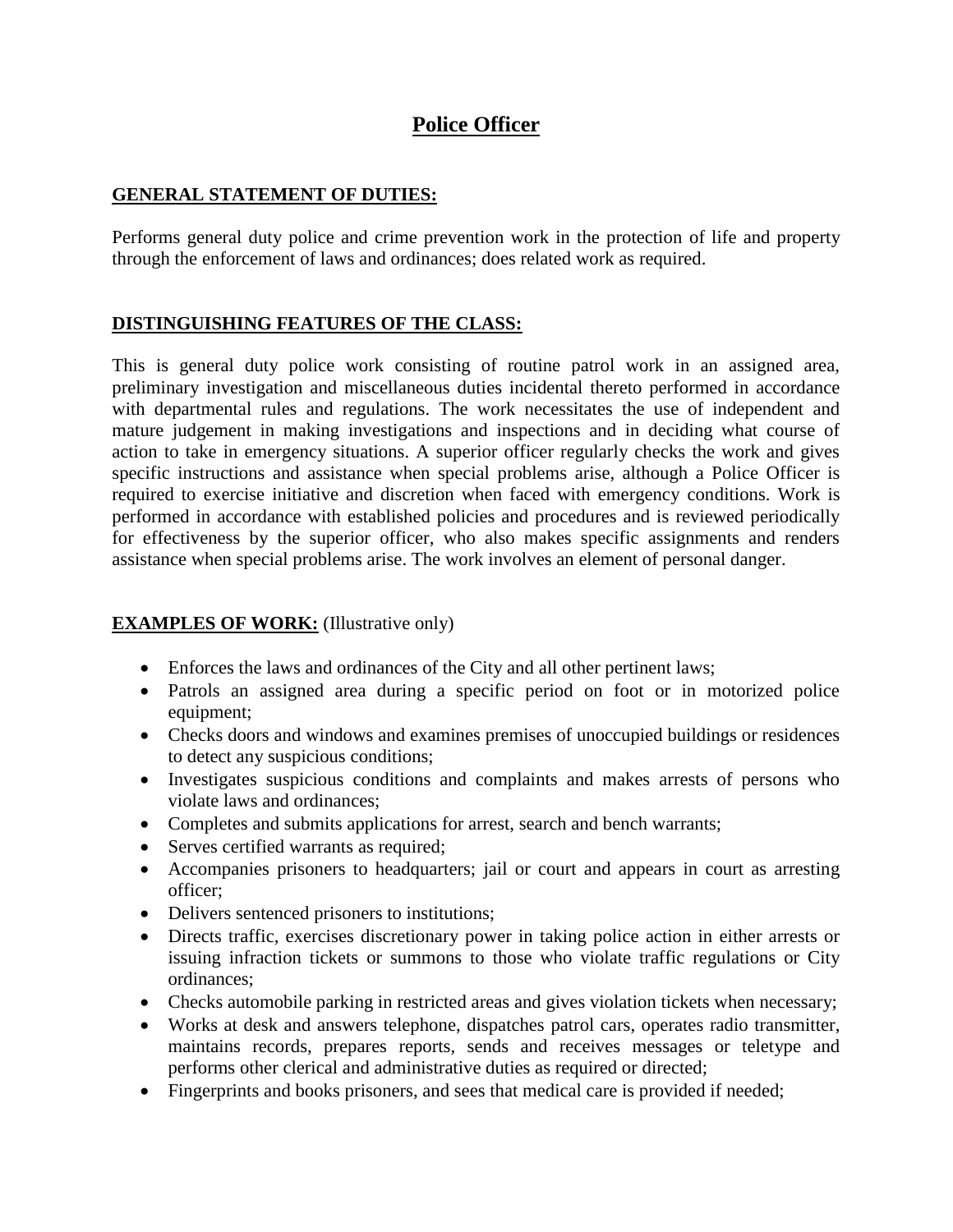# **Police Officer**

### **GENERAL STATEMENT OF DUTIES:**

Performs general duty police and crime prevention work in the protection of life and property through the enforcement of laws and ordinances; does related work as required.

### **DISTINGUISHING FEATURES OF THE CLASS:**

This is general duty police work consisting of routine patrol work in an assigned area, preliminary investigation and miscellaneous duties incidental thereto performed in accordance with departmental rules and regulations. The work necessitates the use of independent and mature judgement in making investigations and inspections and in deciding what course of action to take in emergency situations. A superior officer regularly checks the work and gives specific instructions and assistance when special problems arise, although a Police Officer is required to exercise initiative and discretion when faced with emergency conditions. Work is performed in accordance with established policies and procedures and is reviewed periodically for effectiveness by the superior officer, who also makes specific assignments and renders assistance when special problems arise. The work involves an element of personal danger.

### **EXAMPLES OF WORK:** (Illustrative only)

- Enforces the laws and ordinances of the City and all other pertinent laws;
- Patrols an assigned area during a specific period on foot or in motorized police equipment;
- Checks doors and windows and examines premises of unoccupied buildings or residences to detect any suspicious conditions;
- Investigates suspicious conditions and complaints and makes arrests of persons who violate laws and ordinances;
- Completes and submits applications for arrest, search and bench warrants;
- Serves certified warrants as required;
- Accompanies prisoners to headquarters; jail or court and appears in court as arresting officer;
- Delivers sentenced prisoners to institutions;
- Directs traffic, exercises discretionary power in taking police action in either arrests or issuing infraction tickets or summons to those who violate traffic regulations or City ordinances;
- Checks automobile parking in restricted areas and gives violation tickets when necessary;
- Works at desk and answers telephone, dispatches patrol cars, operates radio transmitter, maintains records, prepares reports, sends and receives messages or teletype and performs other clerical and administrative duties as required or directed;
- Fingerprints and books prisoners, and sees that medical care is provided if needed;